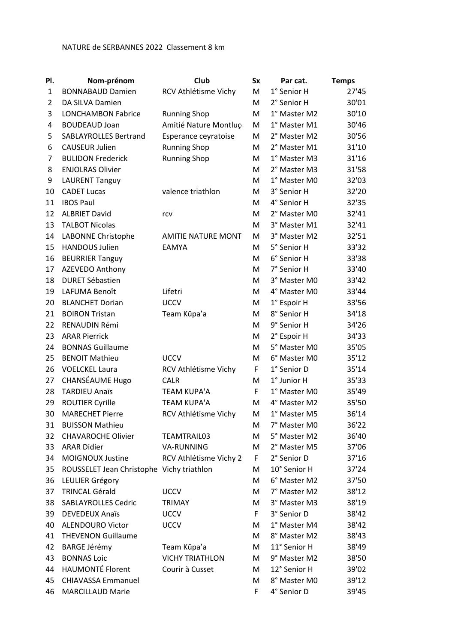## NATURE de SERBANNES 2022 Classement 8 km

| PI.          | Nom-prénom                                | Club                       | <b>Sx</b> | Par cat.     | <b>Temps</b> |
|--------------|-------------------------------------------|----------------------------|-----------|--------------|--------------|
| $\mathbf{1}$ | <b>BONNABAUD Damien</b>                   | RCV Athlétisme Vichy       | М         | 1° Senior H  | 27'45        |
| 2            | DA SILVA Damien                           |                            | м         | 2° Senior H  | 30'01        |
| 3            | <b>LONCHAMBON Fabrice</b>                 | <b>Running Shop</b>        | М         | 1° Master M2 | 30'10        |
| 4            | <b>BOUDEAUD Joan</b>                      | Amitié Nature Montluço     | М         | 1° Master M1 | 30'46        |
| 5            | <b>SABLAYROLLES Bertrand</b>              | Esperance ceyratoise       | М         | 2° Master M2 | 30'56        |
| 6            | <b>CAUSEUR Julien</b>                     | <b>Running Shop</b>        | М         | 2° Master M1 | 31'10        |
| 7            | <b>BULIDON Frederick</b>                  | <b>Running Shop</b>        | м         | 1° Master M3 | 31'16        |
| 8            | <b>ENJOLRAS Olivier</b>                   |                            | М         | 2° Master M3 | 31'58        |
| 9            | <b>LAURENT Tanguy</b>                     |                            | M         | 1° Master M0 | 32'03        |
| 10           | <b>CADET Lucas</b>                        | valence triathlon          | м         | 3° Senior H  | 32'20        |
| 11           | <b>IBOS Paul</b>                          |                            | м         | 4° Senior H  | 32'35        |
| 12           | <b>ALBRIET David</b>                      | rcv                        | м         | 2° Master M0 | 32'41        |
| 13           | <b>TALBOT Nicolas</b>                     |                            | м         | 3° Master M1 | 32'41        |
| 14           | LABONNE Christophe                        | <b>AMITIE NATURE MONTI</b> | м         | 3° Master M2 | 32'51        |
| 15           | <b>HANDOUS Julien</b>                     | <b>EAMYA</b>               | М         | 5° Senior H  | 33'32        |
| 16           | <b>BEURRIER Tanguy</b>                    |                            | M         | 6° Senior H  | 33'38        |
| 17           | AZEVEDO Anthony                           |                            | M         | 7° Senior H  | 33'40        |
| 18           | <b>DURET Sébastien</b>                    |                            | м         | 3° Master M0 | 33'42        |
| 19           | LAFUMA Benoît                             | Lifetri                    | м         | 4° Master M0 | 33'44        |
| 20           | <b>BLANCHET Dorian</b>                    | <b>UCCV</b>                | M         | 1° Espoir H  | 33'56        |
| 21           | <b>BOIRON Tristan</b>                     | Team Kūpa'a                | M         | 8° Senior H  | 34'18        |
| 22           | RENAUDIN Rémi                             |                            | M         | 9° Senior H  | 34'26        |
| 23           | <b>ARAR Pierrick</b>                      |                            | м         | 2° Espoir H  | 34'33        |
| 24           | <b>BONNAS Guillaume</b>                   |                            | м         | 5° Master M0 | 35'05        |
| 25           | <b>BENOIT Mathieu</b>                     | <b>UCCV</b>                | M         | 6° Master M0 | 35'12        |
| 26           | <b>VOELCKEL Laura</b>                     | RCV Athlétisme Vichy       | F         | 1° Senior D  | 35'14        |
| 27           | CHANSÉAUME Hugo                           | <b>CALR</b>                | м         | 1° Junior H  | 35'33        |
| 28           | <b>TARDIEU Anaïs</b>                      | <b>TEAM KUPA'A</b>         | F         | 1° Master M0 | 35'49        |
| 29           | <b>ROUTIER Cyrille</b>                    | <b>TEAM KUPA'A</b>         | M         | 4° Master M2 | 35'50        |
| 30           | <b>MARECHET Pierre</b>                    | RCV Athlétisme Vichy       | M         | 1° Master M5 | 36'14        |
| 31           | <b>BUISSON Mathieu</b>                    |                            | м         | 7° Master M0 | 36'22        |
| 32           | <b>CHAVAROCHE Olivier</b>                 | TEAMTRAIL03                | М         | 5° Master M2 | 36'40        |
| 33           | <b>ARAR Didier</b>                        | <b>VA-RUNNING</b>          | М         | 2° Master M5 | 37'06        |
| 34           | MOIGNOUX Justine                          | RCV Athlétisme Vichy 2     | F.        | 2° Senior D  | 37'16        |
| 35           | ROUSSELET Jean Christophe Vichy triathlon |                            | М         | 10° Senior H | 37'24        |
| 36           | LEULIER Grégory                           |                            | М         | 6° Master M2 | 37'50        |
| 37           | <b>TRINCAL Gérald</b>                     | <b>UCCV</b>                | м         | 7° Master M2 | 38'12        |
| 38           | <b>SABLAYROLLES Cedric</b>                | <b>TRIMAY</b>              | М         | 3° Master M3 | 38'19        |
| 39           | <b>DEVEDEUX Anaïs</b>                     | <b>UCCV</b>                | F         | 3° Senior D  | 38'42        |
| 40           | <b>ALENDOURO Victor</b>                   | <b>UCCV</b>                | М         | 1° Master M4 | 38'42        |
| 41           | <b>THEVENON Guillaume</b>                 |                            | M         | 8° Master M2 | 38'43        |
| 42           | <b>BARGE Jérémy</b>                       | Team Kūpa'a                | М         | 11° Senior H | 38'49        |
| 43           | <b>BONNAS Loic</b>                        | <b>VICHY TRIATHLON</b>     | М         | 9° Master M2 | 38'50        |
| 44           | <b>HAUMONTÉ Florent</b>                   | Courir à Cusset            | м         | 12° Senior H | 39'02        |
| 45           | <b>CHIAVASSA Emmanuel</b>                 |                            | M         | 8° Master M0 | 39'12        |
| 46           | <b>MARCILLAUD Marie</b>                   |                            | F         | 4° Senior D  | 39'45        |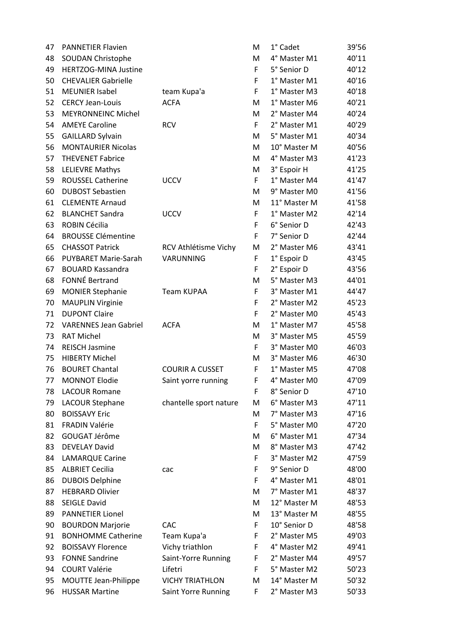| 47 | <b>PANNETIER Flavien</b>     |                        | M | 1° Cadet     | 39'56 |
|----|------------------------------|------------------------|---|--------------|-------|
| 48 | <b>SOUDAN Christophe</b>     |                        | M | 4° Master M1 | 40'11 |
| 49 | HERTZOG-MINA Justine         |                        | F | 5° Senior D  | 40'12 |
| 50 | <b>CHEVALIER Gabrielle</b>   |                        | F | 1° Master M1 | 40'16 |
| 51 | <b>MEUNIER Isabel</b>        | team Kupa'a            | F | 1° Master M3 | 40'18 |
| 52 | <b>CERCY Jean-Louis</b>      | <b>ACFA</b>            | М | 1° Master M6 | 40'21 |
| 53 | <b>MEYRONNEINC Michel</b>    |                        | M | 2° Master M4 | 40'24 |
| 54 | <b>AMEYE Caroline</b>        | <b>RCV</b>             | F | 2° Master M1 | 40'29 |
| 55 | <b>GAILLARD Sylvain</b>      |                        | M | 5° Master M1 | 40'34 |
| 56 | <b>MONTAURIER Nicolas</b>    |                        | M | 10° Master M | 40'56 |
| 57 | <b>THEVENET Fabrice</b>      |                        | M | 4° Master M3 | 41'23 |
| 58 | <b>LELIEVRE Mathys</b>       |                        | M | 3° Espoir H  | 41'25 |
| 59 | <b>ROUSSEL Catherine</b>     | <b>UCCV</b>            | F | 1° Master M4 | 41'47 |
| 60 | <b>DUBOST Sebastien</b>      |                        | M | 9° Master M0 | 41'56 |
| 61 | <b>CLEMENTE Arnaud</b>       |                        | M | 11° Master M | 41'58 |
| 62 | <b>BLANCHET Sandra</b>       | <b>UCCV</b>            | F | 1° Master M2 | 42'14 |
| 63 | ROBIN Cécilia                |                        | F | 6° Senior D  | 42'43 |
| 64 | <b>BROUSSE Clémentine</b>    |                        | F | 7° Senior D  | 42'44 |
| 65 | <b>CHASSOT Patrick</b>       | RCV Athlétisme Vichy   | M | 2° Master M6 | 43'41 |
| 66 | <b>PUYBARET Marie-Sarah</b>  | VARUNNING              | F | 1° Espoir D  | 43'45 |
| 67 | <b>BOUARD Kassandra</b>      |                        | F | 2° Espoir D  | 43'56 |
| 68 | FONNÉ Bertrand               |                        | M | 5° Master M3 | 44'01 |
| 69 | <b>MONIER Stephanie</b>      | Team KUPAA             | F | 3° Master M1 | 44'47 |
| 70 | <b>MAUPLIN Virginie</b>      |                        | F | 2° Master M2 | 45'23 |
| 71 | <b>DUPONT Claire</b>         |                        | F | 2° Master M0 | 45'43 |
| 72 | <b>VARENNES Jean Gabriel</b> | <b>ACFA</b>            | M | 1° Master M7 | 45'58 |
| 73 | <b>RAT Michel</b>            |                        | M | 3° Master M5 | 45'59 |
| 74 | <b>REISCH Jasmine</b>        |                        | F | 3° Master M0 | 46'03 |
| 75 | <b>HIBERTY Michel</b>        |                        | M | 3° Master M6 | 46'30 |
| 76 | <b>BOURET Chantal</b>        | <b>COURIR A CUSSET</b> | F | 1° Master M5 | 47'08 |
| 77 | <b>MONNOT Elodie</b>         | Saint yorre running    | F | 4° Master M0 | 47'09 |
| 78 | <b>LACOUR Romane</b>         |                        | F | 8° Senior D  | 47'10 |
| 79 | LACOUR Stephane              | chantelle sport nature | M | 6° Master M3 | 47'11 |
| 80 | <b>BOISSAVY Eric</b>         |                        | M | 7° Master M3 | 47'16 |
| 81 | <b>FRADIN Valérie</b>        |                        | F | 5° Master M0 | 47'20 |
| 82 | GOUGAT Jérôme                |                        | M | 6° Master M1 | 47'34 |
| 83 | <b>DEVELAY David</b>         |                        | M | 8° Master M3 | 47'42 |
| 84 | <b>LAMARQUE Carine</b>       |                        | F | 3° Master M2 | 47'59 |
| 85 | <b>ALBRIET Cecilia</b>       | cac                    | F | 9° Senior D  | 48'00 |
| 86 | <b>DUBOIS Delphine</b>       |                        | F | 4° Master M1 | 48'01 |
| 87 | <b>HEBRARD Olivier</b>       |                        | M | 7° Master M1 | 48'37 |
| 88 | <b>SEIGLE David</b>          |                        | M | 12° Master M | 48'53 |
| 89 | <b>PANNETIER Lionel</b>      |                        | М | 13° Master M | 48'55 |
| 90 | <b>BOURDON Marjorie</b>      | CAC                    | F | 10° Senior D | 48'58 |
| 91 | <b>BONHOMME Catherine</b>    | Team Kupa'a            | F | 2° Master M5 | 49'03 |
| 92 | <b>BOISSAVY Florence</b>     | Vichy triathlon        | F | 4° Master M2 | 49'41 |
| 93 | <b>FONNE Sandrine</b>        | Saint-Yorre Running    | F | 2° Master M4 | 49'57 |
| 94 | <b>COURT Valérie</b>         | Lifetri                | F | 5° Master M2 | 50'23 |
| 95 | MOUTTE Jean-Philippe         | <b>VICHY TRIATHLON</b> | M | 14° Master M | 50'32 |
| 96 | <b>HUSSAR Martine</b>        | Saint Yorre Running    | F | 2° Master M3 | 50'33 |